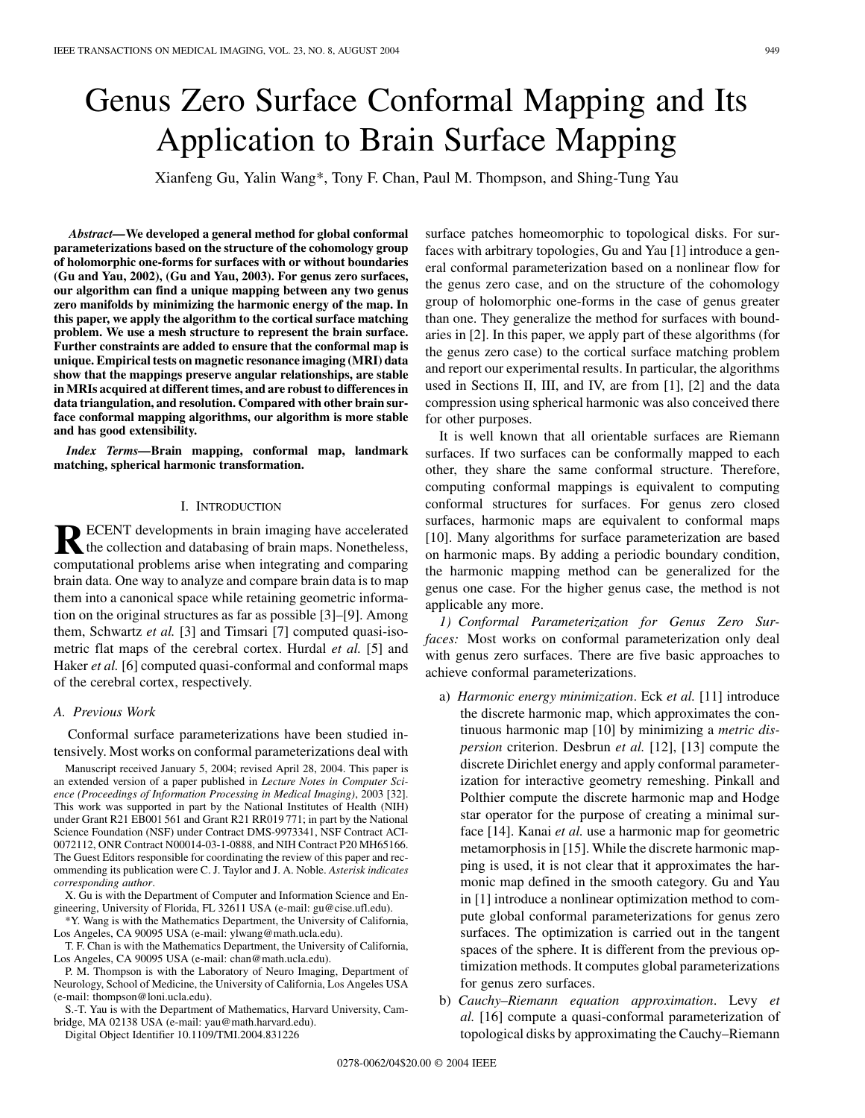# Genus Zero Surface Conformal Mapping and Its Application to Brain Surface Mapping

Xianfeng Gu, Yalin Wang\*, Tony F. Chan, Paul M. Thompson, and Shing-Tung Yau

*Abstract—***We developed a general method for global conformal parameterizations based on the structure of the cohomology group of holomorphic one-forms for surfaces with or without boundaries (Gu and Yau, 2002), (Gu and Yau, 2003). For genus zero surfaces, our algorithm can find a unique mapping between any two genus zero manifolds by minimizing the harmonic energy of the map. In this paper, we apply the algorithm to the cortical surface matching problem. We use a mesh structure to represent the brain surface. Further constraints are added to ensure that the conformal map is unique. Empirical tests on magnetic resonance imaging (MRI) data show that the mappings preserve angular relationships, are stable in MRIs acquired at different times, and are robust to differences in data triangulation, and resolution. Compared with other brain surface conformal mapping algorithms, our algorithm is more stable and has good extensibility.**

*Index Terms—***Brain mapping, conformal map, landmark matching, spherical harmonic transformation.**

#### I. INTRODUCTION

**RECENT** developments in brain imaging have accelerated the collection and databasing of brain maps. Nonetheless, computational problems arise when integrating and comparing brain data. One way to analyze and compare brain data is to map them into a canonical space while retaining geometric information on the original structures as far as possible [[3\]](#page-8-0)–[\[9](#page-8-0)]. Among them, Schwartz *et al.* [\[3](#page-8-0)] and Timsari [\[7](#page-8-0)] computed quasi-isometric flat maps of the cerebral cortex. Hurdal *et al.* [[5\]](#page-8-0) and Haker *et al.* [\[6](#page-8-0)] computed quasi-conformal and conformal maps of the cerebral cortex, respectively.

## *A. Previous Work*

Conformal surface parameterizations have been studied intensively. Most works on conformal parameterizations deal with

Manuscript received January 5, 2004; revised April 28, 2004. This paper is an extended version of a paper published in *Lecture Notes in Computer Science (Proceedings of Information Processing in Medical Imaging)*, 2003 [[32\]](#page-9-0). This work was supported in part by the National Institutes of Health (NIH) under Grant R21 EB001 561 and Grant R21 RR019 771; in part by the National Science Foundation (NSF) under Contract DMS-9973341, NSF Contract ACI-0072112, ONR Contract N00014-03-1-0888, and NIH Contract P20 MH65166. The Guest Editors responsible for coordinating the review of this paper and recommending its publication were C. J. Taylor and J. A. Noble. *Asterisk indicates corresponding author*.

X. Gu is with the Department of Computer and Information Science and Engineering, University of Florida, FL 32611 USA (e-mail: gu@cise.ufl.edu).

\*Y. Wang is with the Mathematics Department, the University of California, Los Angeles, CA 90095 USA (e-mail: ylwang@math.ucla.edu).

T. F. Chan is with the Mathematics Department, the University of California, Los Angeles, CA 90095 USA (e-mail: chan@math.ucla.edu).

P. M. Thompson is with the Laboratory of Neuro Imaging, Department of Neurology, School of Medicine, the University of California, Los Angeles USA (e-mail: thompson@loni.ucla.edu).

S.-T. Yau is with the Department of Mathematics, Harvard University, Cambridge, MA 02138 USA (e-mail: yau@math.harvard.edu).

Digital Object Identifier 10.1109/TMI.2004.831226

surface patches homeomorphic to topological disks. For surfaces with arbitrary topologies, Gu and Yau [[1\]](#page-8-0) introduce a general conformal parameterization based on a nonlinear flow for the genus zero case, and on the structure of the cohomology group of holomorphic one-forms in the case of genus greater than one. They generalize the method for surfaces with boundaries in [[2\]](#page-8-0). In this paper, we apply part of these algorithms (for the genus zero case) to the cortical surface matching problem and report our experimental results. In particular, the algorithms used in Sections II, III, and IV, are from [\[1](#page-8-0)], [[2\]](#page-8-0) and the data compression using spherical harmonic was also conceived there for other purposes.

It is well known that all orientable surfaces are Riemann surfaces. If two surfaces can be conformally mapped to each other, they share the same conformal structure. Therefore, computing conformal mappings is equivalent to computing conformal structures for surfaces. For genus zero closed surfaces, harmonic maps are equivalent to conformal maps [\[10](#page-8-0)]. Many algorithms for surface parameterization are based on harmonic maps. By adding a periodic boundary condition, the harmonic mapping method can be generalized for the genus one case. For the higher genus case, the method is not applicable any more.

*1) Conformal Parameterization for Genus Zero Surfaces:* Most works on conformal parameterization only deal with genus zero surfaces. There are five basic approaches to achieve conformal parameterizations.

- a) *Harmonic energy minimization*. Eck *et al.* [\[11](#page-8-0)] introduce the discrete harmonic map, which approximates the continuous harmonic map [[10\]](#page-8-0) by minimizing a *metric dispersion* criterion. Desbrun *et al.* [\[12](#page-8-0)], [[13\]](#page-8-0) compute the discrete Dirichlet energy and apply conformal parameterization for interactive geometry remeshing. Pinkall and Polthier compute the discrete harmonic map and Hodge star operator for the purpose of creating a minimal surface [\[14](#page-8-0)]. Kanai *et al.* use a harmonic map for geometric metamorphosis in [[15\]](#page-9-0). While the discrete harmonic mapping is used, it is not clear that it approximates the harmonic map defined in the smooth category. Gu and Yau in [\[1](#page-8-0)] introduce a nonlinear optimization method to compute global conformal parameterizations for genus zero surfaces. The optimization is carried out in the tangent spaces of the sphere. It is different from the previous optimization methods. It computes global parameterizations for genus zero surfaces.
- b) *Cauchy–Riemann equation approximation*. Levy *et al.* [[16\]](#page-9-0) compute a quasi-conformal parameterization of topological disks by approximating the Cauchy–Riemann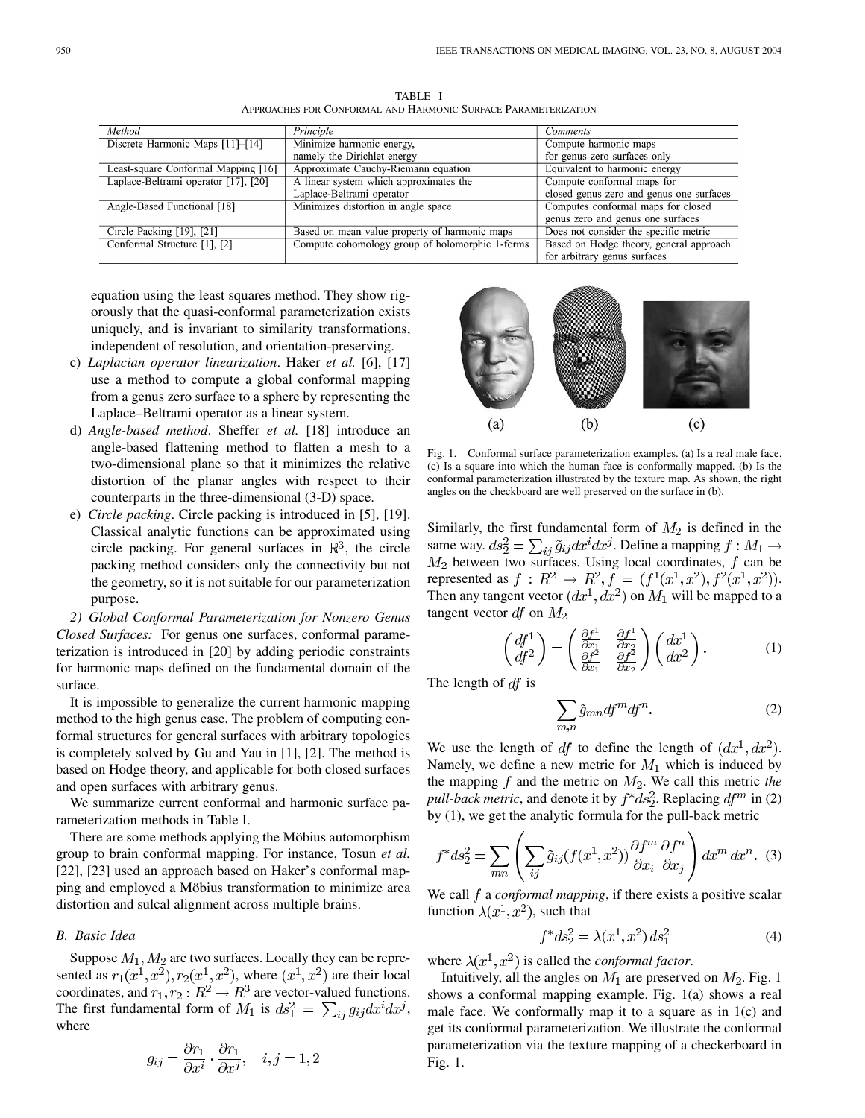| Method                               | Principle                                       | <i>Comments</i>                          |  |
|--------------------------------------|-------------------------------------------------|------------------------------------------|--|
| Discrete Harmonic Maps [11]-[14]     | Minimize harmonic energy,                       | Compute harmonic maps                    |  |
|                                      | namely the Dirichlet energy                     | for genus zero surfaces only             |  |
| Least-square Conformal Mapping [16]  | Approximate Cauchy-Riemann equation             | Equivalent to harmonic energy            |  |
| Laplace-Beltrami operator [17], [20] | A linear system which approximates the          | Compute conformal maps for               |  |
|                                      | Laplace-Beltrami operator                       | closed genus zero and genus one surfaces |  |
| Angle-Based Functional [18]          | Minimizes distortion in angle space             | Computes conformal maps for closed       |  |
|                                      |                                                 | genus zero and genus one surfaces        |  |
| Circle Packing [19], [21]            | Based on mean value property of harmonic maps   | Does not consider the specific metric    |  |
| Conformal Structure [1], [2]         | Compute cohomology group of holomorphic 1-forms | Based on Hodge theory, general approach  |  |
|                                      |                                                 | for arbitrary genus surfaces             |  |

TABLE I APPROACHES FOR CONFORMAL AND HARMONIC SURFACE PARAMETERIZATION

equation using the least squares method. They show rigorously that the quasi-conformal parameterization exists uniquely, and is invariant to similarity transformations, independent of resolution, and orientation-preserving.

- c) *Laplacian operator linearization*. Haker *et al.* [\[6](#page-8-0)], [\[17](#page-9-0)] use a method to compute a global conformal mapping from a genus zero surface to a sphere by representing the Laplace–Beltrami operator as a linear system.
- d) *Angle-based method*. Sheffer *et al.* [\[18](#page-9-0)] introduce an angle-based flattening method to flatten a mesh to a two-dimensional plane so that it minimizes the relative distortion of the planar angles with respect to their counterparts in the three-dimensional (3-D) space.
- e) *Circle packing*. Circle packing is introduced in [[5\]](#page-8-0), [[19\]](#page-9-0). Classical analytic functions can be approximated using circle packing. For general surfaces in  $\mathbb{R}^3$ , the circle packing method considers only the connectivity but not the geometry, so it is not suitable for our parameterization purpose.

*2) Global Conformal Parameterization for Nonzero Genus Closed Surfaces:* For genus one surfaces, conformal parameterization is introduced in [\[20](#page-9-0)] by adding periodic constraints for harmonic maps defined on the fundamental domain of the surface.

It is impossible to generalize the current harmonic mapping method to the high genus case. The problem of computing conformal structures for general surfaces with arbitrary topologies is completely solved by Gu and Yau in [\[1](#page-8-0)], [\[2](#page-8-0)]. The method is based on Hodge theory, and applicable for both closed surfaces and open surfaces with arbitrary genus.

We summarize current conformal and harmonic surface parameterization methods in Table I.

There are some methods applying the Möbius automorphism group to brain conformal mapping. For instance, Tosun *et al.* [[22\]](#page-9-0), [[23\]](#page-9-0) used an approach based on Haker's conformal mapping and employed a Möbius transformation to minimize area distortion and sulcal alignment across multiple brains.

# *B. Basic Idea*

Suppose  $M_1, M_2$  are two surfaces. Locally they can be represented as  $r_1(x^1, x^2), r_2(x^1, x^2)$ , where  $(x^1, x^2)$  are their local coordinates, and  $r_1, r_2: R^2 \to R^3$  are vector-valued functions. The first fundamental form of  $M_1$  is  $ds_1^2 = \sum_{ij} g_{ij} dx^i dx^j$ , where

$$
g_{ij} = \frac{\partial r_1}{\partial x^i} \cdot \frac{\partial r_1}{\partial x^j}, \quad i, j = 1, 2
$$



Fig. 1. Conformal surface parameterization examples. (a) Is a real male face. (c) Is a square into which the human face is conformally mapped. (b) Is the conformal parameterization illustrated by the texture map. As shown, the right angles on the checkboard are well preserved on the surface in (b).

Similarly, the first fundamental form of  $M_2$  is defined in the same way.  $ds_2^2 = \sum_{i,j} \tilde{g}_{ij} dx^i dx^j$ . Define a mapping between two surfaces. Using local coordinates,  $f$  can be represented as  $f: R^2 \to R^2, f = (f^1(x^1, x^2), f^2(x^1, x^2)).$ Then any tangent vector  $(dx^1, dx^2)$  on  $M_1$  will be mapped to a tangent vector  $df$  on  $M_2$ 

$$
\begin{pmatrix} df^1 \\ df^2 \end{pmatrix} = \begin{pmatrix} \frac{\partial f^1}{\partial x_1} & \frac{\partial f^1}{\partial x_2} \\ \frac{\partial f^2}{\partial x_1} & \frac{\partial f^2}{\partial x_2} \end{pmatrix} \begin{pmatrix} dx^1 \\ dx^2 \end{pmatrix}.
$$
 (1)

The length of  $df$  is

$$
\sum_{m,n} \tilde{g}_{mn} df^m df^n. \tag{2}
$$

We use the length of df to define the length of  $(dx^1, dx^2)$ . Namely, we define a new metric for  $M_1$  which is induced by the mapping  $f$  and the metric on  $M_2$ . We call this metric *the pull-back metric*, and denote it by  $f^*ds_2^2$ . Replacing  $df^m$  in (2) by (1), we get the analytic formula for the pull-back metric

$$
f^*ds_2^2 = \sum_{mn} \left( \sum_{ij} \tilde{g}_{ij} (f(x^1, x^2)) \frac{\partial f^m}{\partial x_i} \frac{\partial f^n}{\partial x_j} \right) dx^m dx^n. \tag{3}
$$

We call  $f$  a *conformal mapping*, if there exists a positive scalar function  $\lambda(x^1, x^2)$ , such that

$$
f^*ds_2^2 = \lambda(x^1, x^2) \, ds_1^2 \tag{4}
$$

where  $\lambda(x^1, x^2)$  is called the *conformal factor*.

Intuitively, all the angles on  $M_1$  are preserved on  $M_2$ . Fig. 1 shows a conformal mapping example. Fig. 1(a) shows a real male face. We conformally map it to a square as in 1(c) and get its conformal parameterization. We illustrate the conformal parameterization via the texture mapping of a checkerboard in Fig. 1.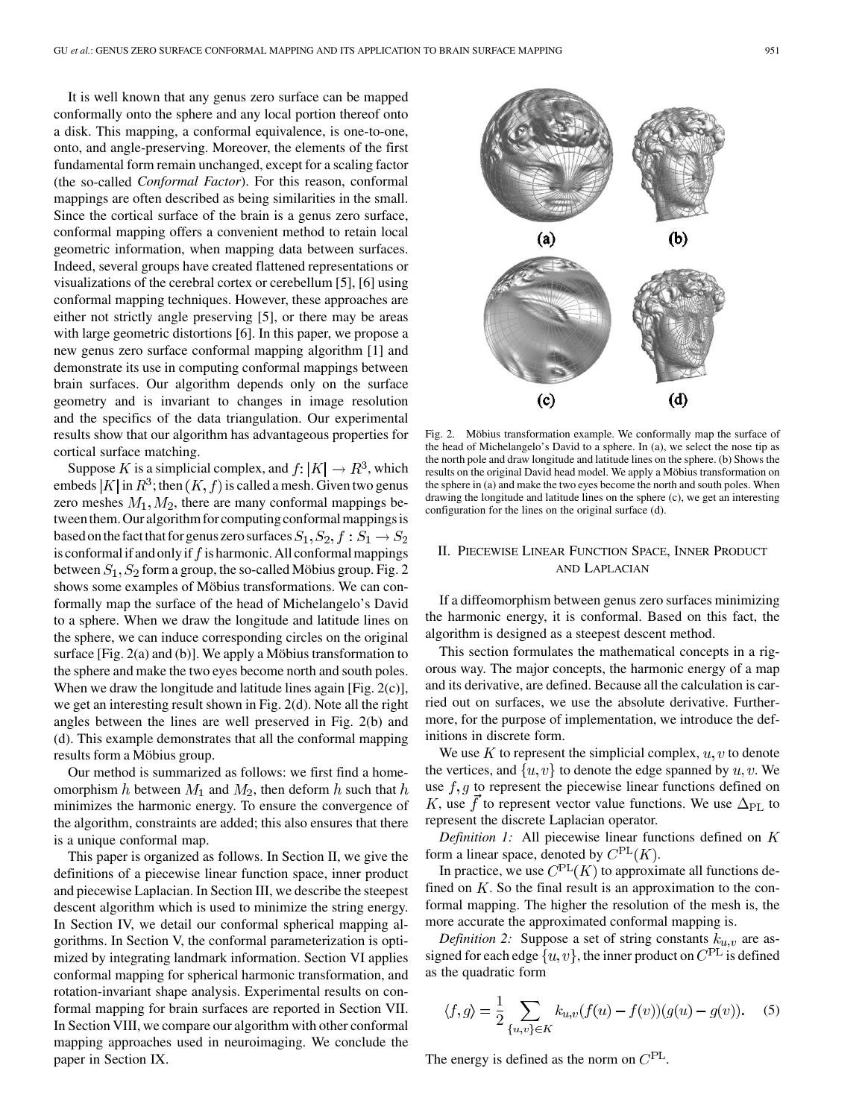It is well known that any genus zero surface can be mapped conformally onto the sphere and any local portion thereof onto a disk. This mapping, a conformal equivalence, is one-to-one, onto, and angle-preserving. Moreover, the elements of the first fundamental form remain unchanged, except for a scaling factor (the so-called *Conformal Factor*). For this reason, conformal mappings are often described as being similarities in the small. Since the cortical surface of the brain is a genus zero surface, conformal mapping offers a convenient method to retain local geometric information, when mapping data between surfaces. Indeed, several groups have created flattened representations or visualizations of the cerebral cortex or cerebellum [[5\]](#page-8-0), [\[6](#page-8-0)] using conformal mapping techniques. However, these approaches are either not strictly angle preserving [[5\]](#page-8-0), or there may be areas with large geometric distortions [\[6](#page-8-0)]. In this paper, we propose a new genus zero surface conformal mapping algorithm [\[1](#page-8-0)] and demonstrate its use in computing conformal mappings between brain surfaces. Our algorithm depends only on the surface geometry and is invariant to changes in image resolution and the specifics of the data triangulation. Our experimental results show that our algorithm has advantageous properties for cortical surface matching.

Suppose K is a simplicial complex, and  $f: |K| \to \mathbb{R}^3$ , which embeds | K | in  $R^3$ ; then  $(K, f)$  is called a mesh. Given two genus zero meshes  $M_1, M_2$ , there are many conformal mappings between them. Our algorithm for computing conformal mappings is based on the fact that for genus zero surfaces  $S_1, S_2, f : S_1 \rightarrow S_2$ is conformal if and only if  $f$  is harmonic. All conformal mappings between  $S_1, S_2$  form a group, the so-called Möbius group. Fig. 2 shows some examples of Möbius transformations. We can conformally map the surface of the head of Michelangelo's David to a sphere. When we draw the longitude and latitude lines on the sphere, we can induce corresponding circles on the original surface [Fig. 2(a) and (b)]. We apply a Möbius transformation to the sphere and make the two eyes become north and south poles. When we draw the longitude and latitude lines again [Fig. 2(c)], we get an interesting result shown in Fig. 2(d). Note all the right angles between the lines are well preserved in Fig. 2(b) and (d). This example demonstrates that all the conformal mapping results form a Möbius group.

Our method is summarized as follows: we first find a homeomorphism h between  $M_1$  and  $M_2$ , then deform h such that h minimizes the harmonic energy. To ensure the convergence of the algorithm, constraints are added; this also ensures that there is a unique conformal map.

This paper is organized as follows. In Section II, we give the definitions of a piecewise linear function space, inner product and piecewise Laplacian. In Section III, we describe the steepest descent algorithm which is used to minimize the string energy. In Section IV, we detail our conformal spherical mapping algorithms. In Section V, the conformal parameterization is optimized by integrating landmark information. Section VI applies conformal mapping for spherical harmonic transformation, and rotation-invariant shape analysis. Experimental results on conformal mapping for brain surfaces are reported in Section VII. In Section VIII, we compare our algorithm with other conformal mapping approaches used in neuroimaging. We conclude the paper in Section IX.



# II. PIECEWISE LINEAR FUNCTION SPACE, INNER PRODUCT AND LAPLACIAN

If a diffeomorphism between genus zero surfaces minimizing the harmonic energy, it is conformal. Based on this fact, the algorithm is designed as a steepest descent method.

This section formulates the mathematical concepts in a rigorous way. The major concepts, the harmonic energy of a map and its derivative, are defined. Because all the calculation is carried out on surfaces, we use the absolute derivative. Furthermore, for the purpose of implementation, we introduce the definitions in discrete form.

We use  $K$  to represent the simplicial complex,  $u, v$  to denote the vertices, and  $\{u, v\}$  to denote the edge spanned by  $u, v$ . We use  $f, g$  to represent the piecewise linear functions defined on K, use  $\bar{f}$  to represent vector value functions. We use  $\Delta_{\rm PL}$  to represent the discrete Laplacian operator.

*Definition 1:* All piecewise linear functions defined on K form a linear space, denoted by  $C^{\text{PL}}(K)$ .

In practice, we use  $C^{PL}(K)$  to approximate all functions defined on  $K$ . So the final result is an approximation to the conformal mapping. The higher the resolution of the mesh is, the more accurate the approximated conformal mapping is.

*Definition 2:* Suppose a set of string constants  $k_{u,v}$  are assigned for each edge  $\{u, v\}$ , the inner product on  $C^{PL}$  is defined as the quadratic form

$$
\langle f, g \rangle = \frac{1}{2} \sum_{\{u,v\} \in K} k_{u,v} (f(u) - f(v)) (g(u) - g(v)). \tag{5}
$$

The energy is defined as the norm on  $C^{PL}$ .

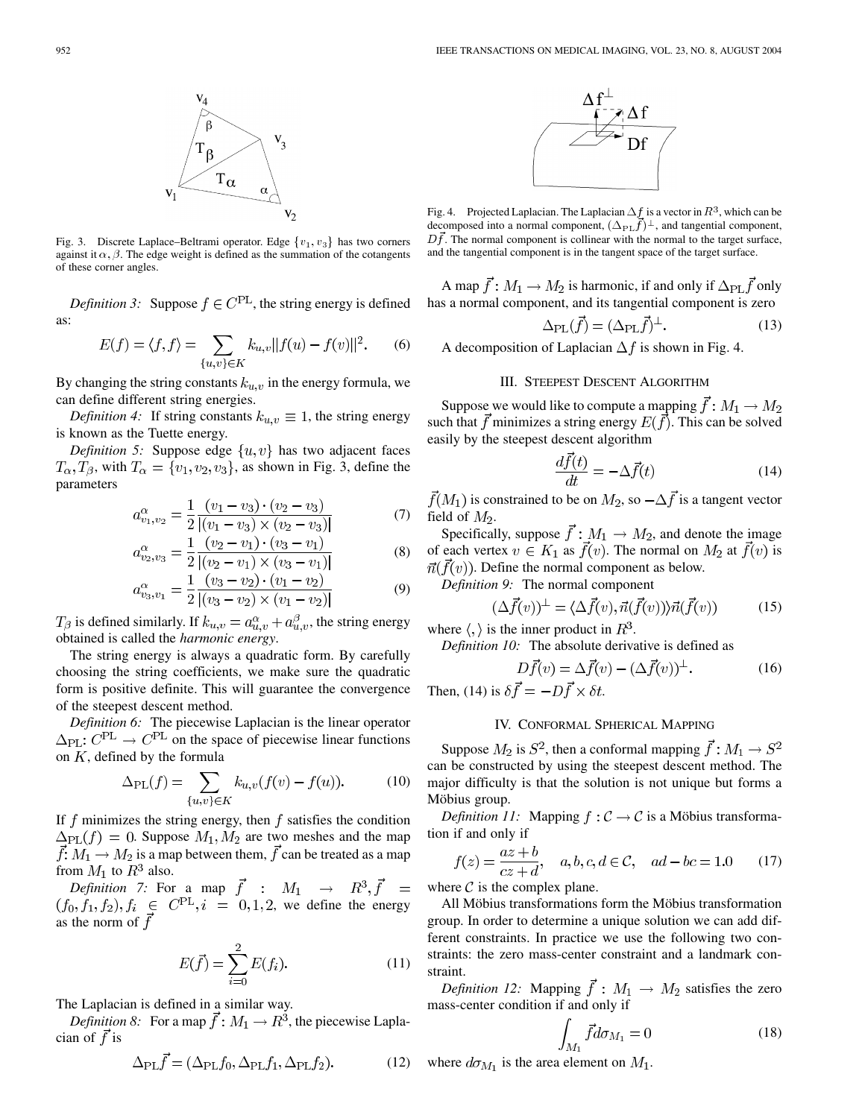

Fig. 3. Discrete Laplace–Beltrami operator. Edge  $\{v_1, v_3\}$  has two corners against it  $\alpha$ ,  $\beta$ . The edge weight is defined as the summation of the cotangents of these corner angles.

*Definition 3:* Suppose  $f \in C^{PL}$ , the string energy is defined as:

$$
E(f) = \langle f, f \rangle = \sum_{\{u,v\} \in K} k_{u,v} ||f(u) - f(v)||^2.
$$
 (6)

By changing the string constants  $k_{u,v}$  in the energy formula, we can define different string energies.

*Definition 4:* If string constants  $k_{u,v} \equiv 1$ , the string energy is known as the Tuette energy.

*Definition 5:* Suppose edge  $\{u, v\}$  has two adjacent faces  $T_{\alpha}$ ,  $T_{\beta}$ , with  $T_{\alpha} = \{v_1, v_2, v_3\}$ , as shown in Fig. 3, define the parameters

$$
a_{v_1, v_2}^{\alpha} = \frac{1}{2} \frac{(v_1 - v_3) \cdot (v_2 - v_3)}{|(v_1 - v_3) \times (v_2 - v_3)|}
$$
(7)

$$
a_{v_2,v_3}^{\alpha} = \frac{1}{2} \frac{(v_2 - v_1) \cdot (v_3 - v_1)}{[(v_2 - v_1) \times (v_3 - v_1)]}
$$
(8)

$$
a_{v_3,v_1}^{\alpha} = \frac{1}{2} \frac{(v_3 - v_2) \cdot (v_1 - v_2)}{|(v_3 - v_2) \times (v_1 - v_2)|}
$$
(9)

$$
T_{\beta}
$$
 is defined similarly. If  $k_{u,v} = a_{u,v}^{\alpha} + a_{u,v}^{\beta}$ , the string energy obtained is called the *harmonic energy*.

The string energy is always a quadratic form. By carefully choosing the string coefficients, we make sure the quadratic form is positive definite. This will guarantee the convergence of the steepest descent method.

*Definition 6:* The piecewise Laplacian is the linear operator  $\Delta_{\rm PL}: C^{\rm PL} \rightarrow C^{\rm PL}$  on the space of piecewise linear functions on  $K$ , defined by the formula

$$
\Delta_{\rm PL}(f) = \sum_{\{u,v\} \in K} k_{u,v}(f(v) - f(u)).
$$
 (10)

If  $f$  minimizes the string energy, then  $f$  satisfies the condition  $\Delta_{PL}(f) = 0$ . Suppose  $M_1, M_2$  are two meshes and the map  $\vec{f}: M_1 \to M_2$  is a map between them,  $\vec{f}$  can be treated as a map from  $M_1$  to  $R^3$  also.

*Definition 7:* For a map  $\vec{f}$  :  $M_1 \rightarrow R^3$ ,  $\vec{f}$  = , we define the energy as the norm of

$$
E(\vec{f}) = \sum_{i=0}^{2} E(f_i).
$$
 (11)

The Laplacian is defined in a similar way.

*Definition 8:* For a map  $\vec{f}$  :  $M_1 \rightarrow R^3$ , the piecewise Laplacian of  $\vec{f}$  is

$$
\Delta_{\rm PL} \vec{f} = (\Delta_{\rm PL} f_0, \Delta_{\rm PL} f_1, \Delta_{\rm PL} f_2).
$$
 (12)



Fig. 4. Projected Laplacian. The Laplacian  $\Delta f$  is a vector in  $R^3$ , which can be decomposed into a normal component,  $(\Delta_{\rm PL} \vec{f})^{\perp}$ , and tangential component,  $D\vec{f}$ . The normal component is collinear with the normal to the target surface, and the tangential component is in the tangent space of the target surface.

A map  $\vec{f}: M_1 \to M_2$  is harmonic, if and only if  $\Delta_{\rm PL} \vec{f}$  only has a normal component, and its tangential component is zero

$$
\Delta_{\rm PL}(\vec{f}) = (\Delta_{\rm PL} \vec{f})^{\perp}.
$$
\n(13)

A decomposition of Laplacian  $\Delta f$  is shown in Fig. 4.

## III. STEEPEST DESCENT ALGORITHM

Suppose we would like to compute a mapping  $\vec{f}: M_1 \to M_2$ such that  $\vec{f}$  minimizes a string energy  $E(\vec{f})$ . This can be solved easily by the steepest descent algorithm

$$
\frac{df(t)}{dt} = -\Delta \vec{f}(t) \tag{14}
$$

 $\vec{f}(M_1)$  is constrained to be on  $M_2$ , so  $-\Delta \vec{f}$  is a tangent vector field of  $M_2$ .

Specifically, suppose  $\bar{f}: M_1 \to M_2$ , and denote the image of each vertex  $v \in K_1$  as  $\vec{f}(v)$ . The normal on  $M_2$  at  $\vec{f}(v)$  is  $\vec{n}(\vec{f}(v))$ . Define the normal component as below.

*Definition 9:* The normal component

$$
(\Delta \tilde{f}(v))^{\perp} = \langle \Delta \tilde{f}(v), \vec{n}(\tilde{f}(v)) \rangle \vec{n}(\tilde{f}(v)) \tag{15}
$$

where  $\langle , \rangle$  is the inner product in  $R^3$ .

*Definition 10:* The absolute derivative is defined as

$$
D\vec{f}(v) = \Delta \vec{f}(v) - (\Delta \vec{f}(v))^{\perp}.
$$
 (16)

Then, (14) is  $\delta f = -Df \times \delta t$ .

## IV. CONFORMAL SPHERICAL MAPPING

Suppose  $M_2$  is  $S^2$ , then a conformal mapping  $\vec{f}$ :  $M_1 \rightarrow S^2$ can be constructed by using the steepest descent method. The major difficulty is that the solution is not unique but forms a Möbius group.

*Definition 11:* Mapping  $f: C \to C$  is a Möbius transformation if and only if

$$
f(z) = \frac{az+b}{cz+d}, \quad a, b, c, d \in \mathcal{C}, \quad ad - bc = 1.0 \tag{17}
$$

where  $\mathcal C$  is the complex plane.

All Möbius transformations form the Möbius transformation group. In order to determine a unique solution we can add different constraints. In practice we use the following two constraints: the zero mass-center constraint and a landmark constraint.

*Definition 12:* Mapping  $\vec{f}$  :  $M_1 \rightarrow M_2$  satisfies the zero mass-center condition if and only if

$$
\int_{M_1} \vec{f} d\sigma_{M_1} = 0 \tag{18}
$$

where  $d\sigma_{M_1}$  is the area element on  $M_1$ .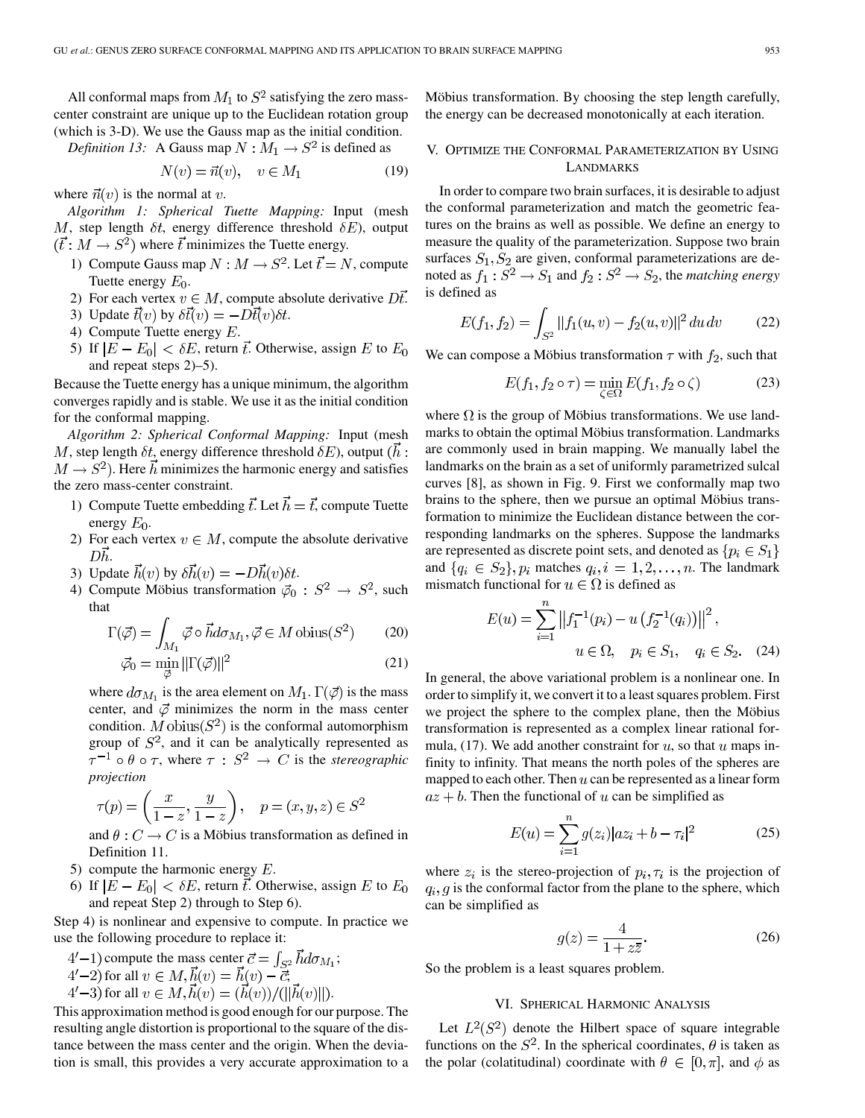All conformal maps from  $M_1$  to  $S^2$  satisfying the zero masscenter constraint are unique up to the Euclidean rotation group (which is 3-D). We use the Gauss map as the initial condition.

*Definition 13:* A Gauss map  $N : M_1 \rightarrow S^2$  is defined as

$$
N(v) = \vec{n}(v), \quad v \in M_1 \tag{19}
$$

where  $\vec{n}(v)$  is the normal at v.

*Algorithm 1: Spherical Tuette Mapping:* Input (mesh M, step length  $\delta t$ , energy difference threshold  $\delta E$ ), output  $(\vec{t}:M\to S^2)$  where  $\vec{t}$  minimizes the Tuette energy.

- 1) Compute Gauss map  $N : M \to S^2$ . Let  $\vec{t} = N$ , compute Tuette energy  $E_0$ .
- 2) For each vertex  $v \in M$ , compute absolute derivative  $D\vec{t}$ .
- 3) Update  $\vec{t}(v)$  by  $\delta \vec{t}(v) = -D\vec{t}(v)\delta t$ .
- 4) Compute Tuette energy  $E$ .
- 5) If  $|E E_0| < \delta E$ , return  $\vec{t}$ . Otherwise, assign E to  $E_0$ and repeat steps 2)–5).

Because the Tuette energy has a unique minimum, the algorithm converges rapidly and is stable. We use it as the initial condition for the conformal mapping.

*Algorithm 2: Spherical Conformal Mapping:* Input (mesh M, step length  $\delta t$ , energy difference threshold  $\delta E$ ), output  $(\vec{h}$ :  $M \rightarrow S^2$ ). Here  $\vec{h}$  minimizes the harmonic energy and satisfies the zero mass-center constraint.

- 1) Compute Tuette embedding  $\vec{t}$ . Let  $\vec{h} = \vec{t}$ , compute Tuette energy  $E_0$ .
- 2) For each vertex  $v \in M$ , compute the absolute derivative  $Dh$ .
- 3) Update  $\vec{h}(v)$  by  $\delta \vec{h}(v) = -D\vec{h}(v)\delta t$ .
- 4) Compute Möbius transformation  $\vec{\varphi}_0$  :  $S^2 \rightarrow S^2$ , such that

$$
\Gamma(\vec{\varphi}) = \int_{M_1} \vec{\varphi} \circ \vec{h} d\sigma_{M_1}, \vec{\varphi} \in M \text{ obius}(S^2) \qquad (20)
$$

$$
\vec{\varphi}_0 = \min_{\vec{\varphi}} \|\Gamma(\vec{\varphi})\|^2 \tag{21}
$$

where  $d\sigma_{M_1}$  is the area element on  $M_1$ .  $\Gamma(\vec{\varphi})$  is the mass center, and  $\vec{\varphi}$  minimizes the norm in the mass center condition.  $M$  obius( $S^2$ ) is the conformal automorphism group of  $S^2$ , and it can be analytically represented as  $\tau^{-1} \circ \theta \circ \tau$ , where  $\tau : S^2 \to C$  is the *stereographic projection*

$$
\tau(p) = \left(\frac{x}{1-z}, \frac{y}{1-z}\right), \quad p = (x, y, z) \in S^2
$$

and  $\theta: C \to C$  is a Möbius transformation as defined in Definition 11.

- 5) compute the harmonic energy  $E$ .
- 6) If  $|E E_0| < \delta E$ , return  $\vec{t}$ . Otherwise, assign E to  $E_0$ and repeat Step 2) through to Step 6).

Step 4) is nonlinear and expensive to compute. In practice we use the following procedure to replace it:

4'-1) compute the mass center 
$$
\vec{c} = \int_{S^2} \vec{h} d\sigma_{M_1}
$$
;  
\n4'-2) for all  $v \in M$ ,  $\vec{h}(v) = \vec{h}(v) - \vec{c}$ ;  
\n4'-3) for all  $v \in M$ ,  $\vec{h}(v) = (\vec{h}(v))/(||\vec{h}(v)||)$ .

This approximation method is good enough for our purpose. The resulting angle distortion is proportional to the square of the distance between the mass center and the origin. When the deviation is small, this provides a very accurate approximation to a Möbius transformation. By choosing the step length carefully, the energy can be decreased monotonically at each iteration.

# V. OPTIMIZE THE CONFORMAL PARAMETERIZATION BY USING LANDMARKS

In order to compare two brain surfaces, it is desirable to adjust the conformal parameterization and match the geometric features on the brains as well as possible. We define an energy to measure the quality of the parameterization. Suppose two brain surfaces  $S_1, S_2$  are given, conformal parameterizations are denoted as  $f_1: S^2 \to S_1$  and  $f_2: S^2 \to S_2$ , the *matching energy* is defined as

$$
E(f_1, f_2) = \int_{S^2} ||f_1(u, v) - f_2(u, v)||^2 du dv \qquad (22)
$$

We can compose a Möbius transformation  $\tau$  with  $f_2$ , such that

$$
E(f_1, f_2 \circ \tau) = \min_{\zeta \in \Omega} E(f_1, f_2 \circ \zeta)
$$
 (23)

where  $\Omega$  is the group of Möbius transformations. We use landmarks to obtain the optimal Möbius transformation. Landmarks are commonly used in brain mapping. We manually label the landmarks on the brain as a set of uniformly parametrized sulcal curves [\[8](#page-8-0)], as shown in Fig. 9. First we conformally map two brains to the sphere, then we pursue an optimal Möbius transformation to minimize the Euclidean distance between the corresponding landmarks on the spheres. Suppose the landmarks are represented as discrete point sets, and denoted as  $\{p_i \in S_1\}$ and  $\{q_i \in S_2\}$ ,  $p_i$  matches  $q_i$ ,  $i = 1, 2, \ldots, n$ . The landmark mismatch functional for  $u \in \Omega$  is defined as

$$
E(u) = \sum_{i=1}^{n} ||f_1^{-1}(p_i) - u(f_2^{-1}(q_i))||^2,
$$
  

$$
u \in \Omega, \quad p_i \in S_1, \quad q_i \in S_2. \quad (24)
$$

In general, the above variational problem is a nonlinear one. In order to simplify it, we convert it to a least squares problem. First we project the sphere to the complex plane, then the Möbius transformation is represented as a complex linear rational formula,  $(17)$ . We add another constraint for  $u$ , so that  $u$  maps infinity to infinity. That means the north poles of the spheres are mapped to each other. Then  $u$  can be represented as a linear form  $az + b$ . Then the functional of u can be simplified as

$$
E(u) = \sum_{i=1}^{n} g(z_i) |az_i + b - \tau_i|^2
$$
 (25)

where  $z_i$  is the stereo-projection of  $p_i, \tau_i$  is the projection of  $q_i, q$  is the conformal factor from the plane to the sphere, which can be simplified as

$$
g(z) = \frac{4}{1 + z\overline{z}}.\tag{26}
$$

So the problem is a least squares problem.

## VI. SPHERICAL HARMONIC ANALYSIS

Let  $L^2(S^2)$  denote the Hilbert space of square integrable functions on the  $S^2$ . In the spherical coordinates,  $\theta$  is taken as the polar (colatitudinal) coordinate with  $\theta \in [0, \pi]$ , and  $\phi$  as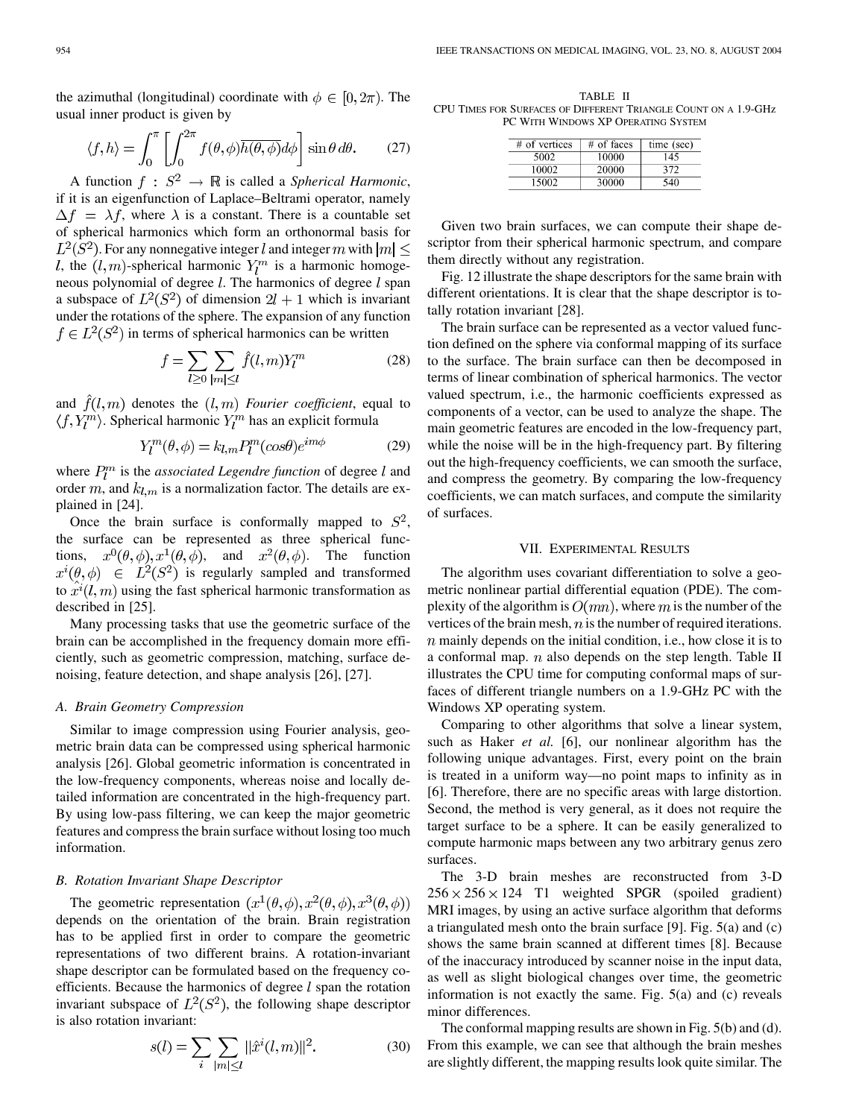the azimuthal (longitudinal) coordinate with  $\phi \in [0, 2\pi)$ . The usual inner product is given by

$$
\langle f, h \rangle = \int_0^{\pi} \left[ \int_0^{2\pi} f(\theta, \phi) \overline{h(\theta, \phi)} d\phi \right] \sin \theta \, d\theta. \tag{27}
$$

A function  $f: S^2 \to \mathbb{R}$  is called a *Spherical Harmonic*, if it is an eigenfunction of Laplace–Beltrami operator, namely  $\Delta f = \lambda f$ , where  $\lambda$  is a constant. There is a countable set of spherical harmonics which form an orthonormal basis for  $L^2(S^2)$ . For any nonnegative integer l and integer m with  $|m| \leq$ *l*, the  $(l, m)$ -spherical harmonic  $Y_l^m$  is a harmonic homogeneous polynomial of degree  $l$ . The harmonics of degree  $l$  span a subspace of  $L^2(S^2)$  of dimension  $2l + 1$  which is invariant under the rotations of the sphere. The expansion of any function  $f \in L^2(S^2)$  in terms of spherical harmonics can be written

$$
f = \sum_{l \ge 0} \sum_{|m| \le l} \hat{f}(l, m) Y_l^m \tag{28}
$$

and  $\hat{f}(l,m)$  denotes the  $(l,m)$  Fourier coefficient, equal to  $\langle f, Y_{I}^{m} \rangle$ . Spherical harmonic  $Y_{I}^{m}$  has an explicit formula

$$
Y_l^m(\theta, \phi) = k_{l,m} P_l^m(\cos \theta) e^{im\phi} \tag{29}
$$

where  $P_l^m$  is the *associated Legendre function* of degree  $l$  and order  $m$ , and  $k_{l,m}$  is a normalization factor. The details are explained in [[24\]](#page-9-0).

Once the brain surface is conformally mapped to  $S^2$ , the surface can be represented as three spherical functions,  $x^0(\theta, \phi), x^1(\theta, \phi)$ , and  $x^2(\theta, \phi)$ . The function  $x^{i}(\theta, \phi) \in L^{2}(S^{2})$  is regularly sampled and transformed to  $x^{i}(l, m)$  using the fast spherical harmonic transformation as described in [[25\]](#page-9-0).

Many processing tasks that use the geometric surface of the brain can be accomplished in the frequency domain more efficiently, such as geometric compression, matching, surface denoising, feature detection, and shape analysis [[26\]](#page-9-0), [[27\]](#page-9-0).

## *A. Brain Geometry Compression*

Similar to image compression using Fourier analysis, geometric brain data can be compressed using spherical harmonic analysis [[26\]](#page-9-0). Global geometric information is concentrated in the low-frequency components, whereas noise and locally detailed information are concentrated in the high-frequency part. By using low-pass filtering, we can keep the major geometric features and compress the brain surface without losing too much information.

### *B. Rotation Invariant Shape Descriptor*

The geometric representation  $(x^1(\theta, \phi), x^2(\theta, \phi), x^3(\theta, \phi))$ depends on the orientation of the brain. Brain registration has to be applied first in order to compare the geometric representations of two different brains. A rotation-invariant shape descriptor can be formulated based on the frequency coefficients. Because the harmonics of degree  $l$  span the rotation invariant subspace of  $L^2(S^2)$ , the following shape descriptor is also rotation invariant:

$$
s(l) = \sum_{i} \sum_{|m| \le l} ||\hat{x}^{i}(l, m)||^{2}.
$$
 (30)

TABLE II CPU TIMES FOR SURFACES OF DIFFERENT TRIANGLE COUNT ON A 1.9-GHz PC WITH WINDOWS XP OPERATING SYSTEM

| # of vertices | $#$ of faces | time (sec) |
|---------------|--------------|------------|
| 5002          | 10000        | 145        |
| 10002         | 20000        | 372        |
| 15002         | 30000        | 540        |

Given two brain surfaces, we can compute their shape descriptor from their spherical harmonic spectrum, and compare them directly without any registration.

Fig. 12 illustrate the shape descriptors for the same brain with different orientations. It is clear that the shape descriptor is totally rotation invariant [[28\]](#page-9-0).

The brain surface can be represented as a vector valued function defined on the sphere via conformal mapping of its surface to the surface. The brain surface can then be decomposed in terms of linear combination of spherical harmonics. The vector valued spectrum, i.e., the harmonic coefficients expressed as components of a vector, can be used to analyze the shape. The main geometric features are encoded in the low-frequency part, while the noise will be in the high-frequency part. By filtering out the high-frequency coefficients, we can smooth the surface, and compress the geometry. By comparing the low-frequency coefficients, we can match surfaces, and compute the similarity of surfaces.

#### VII. EXPERIMENTAL RESULTS

The algorithm uses covariant differentiation to solve a geometric nonlinear partial differential equation (PDE). The complexity of the algorithm is  $O(mn)$ , where m is the number of the vertices of the brain mesh,  $n$  is the number of required iterations.  $n$  mainly depends on the initial condition, i.e., how close it is to a conformal map.  $n$  also depends on the step length. Table II illustrates the CPU time for computing conformal maps of surfaces of different triangle numbers on a 1.9-GHz PC with the Windows XP operating system.

Comparing to other algorithms that solve a linear system, such as Haker *et al.* [[6\]](#page-8-0), our nonlinear algorithm has the following unique advantages. First, every point on the brain is treated in a uniform way—no point maps to infinity as in [[6\]](#page-8-0). Therefore, there are no specific areas with large distortion. Second, the method is very general, as it does not require the target surface to be a sphere. It can be easily generalized to compute harmonic maps between any two arbitrary genus zero surfaces.

The 3-D brain meshes are reconstructed from 3-D  $256 \times 256 \times 124$  T1 weighted SPGR (spoiled gradient) MRI images, by using an active surface algorithm that deforms a triangulated mesh onto the brain surface [[9\]](#page-8-0). Fig. 5(a) and (c) shows the same brain scanned at different times [\[8](#page-8-0)]. Because of the inaccuracy introduced by scanner noise in the input data, as well as slight biological changes over time, the geometric information is not exactly the same. Fig. 5(a) and (c) reveals minor differences.

The conformal mapping results are shown in Fig. 5(b) and (d). From this example, we can see that although the brain meshes are slightly different, the mapping results look quite similar. The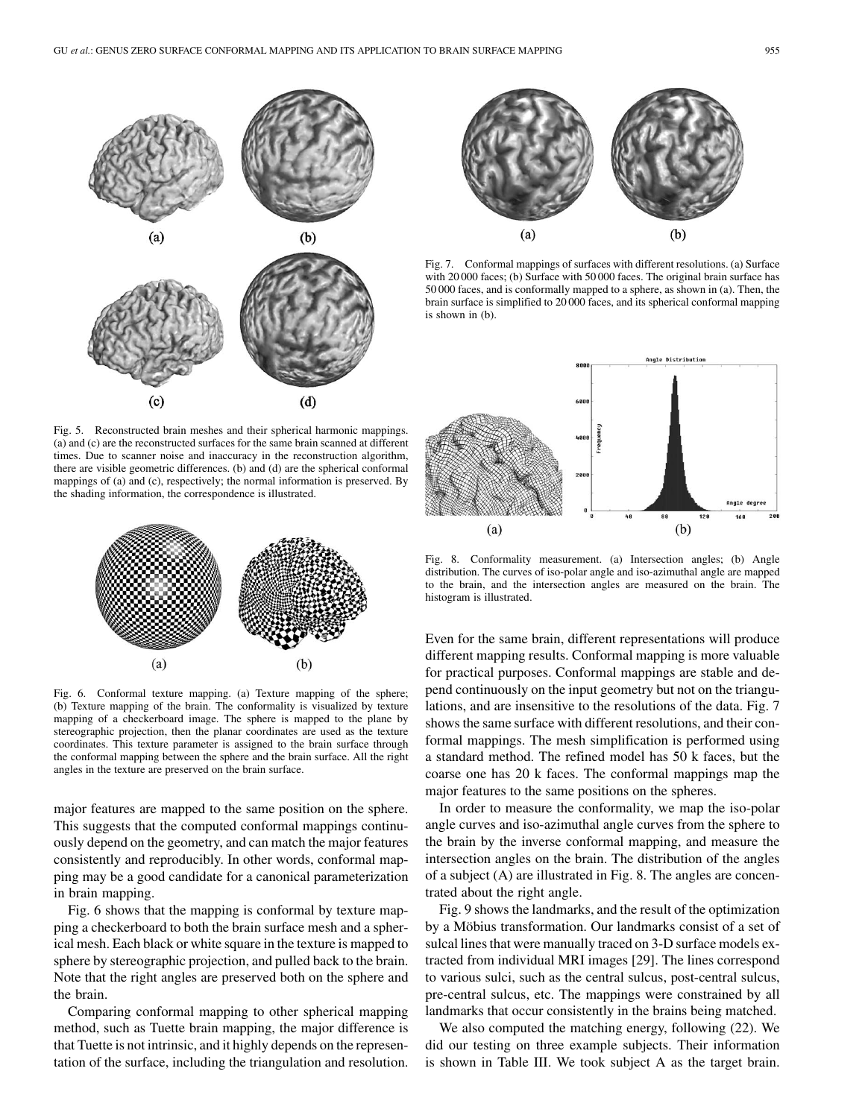

Fig. 5. Reconstructed brain meshes and their spherical harmonic mappings. (a) and (c) are the reconstructed surfaces for the same brain scanned at different times. Due to scanner noise and inaccuracy in the reconstruction algorithm, there are visible geometric differences. (b) and (d) are the spherical conformal mappings of (a) and (c), respectively; the normal information is preserved. By the shading information, the correspondence is illustrated.



Fig. 6. Conformal texture mapping. (a) Texture mapping of the sphere; (b) Texture mapping of the brain. The conformality is visualized by texture mapping of a checkerboard image. The sphere is mapped to the plane by stereographic projection, then the planar coordinates are used as the texture coordinates. This texture parameter is assigned to the brain surface through the conformal mapping between the sphere and the brain surface. All the right angles in the texture are preserved on the brain surface.

major features are mapped to the same position on the sphere. This suggests that the computed conformal mappings continuously depend on the geometry, and can match the major features consistently and reproducibly. In other words, conformal mapping may be a good candidate for a canonical parameterization in brain mapping.

Fig. 6 shows that the mapping is conformal by texture mapping a checkerboard to both the brain surface mesh and a spherical mesh. Each black or white square in the texture is mapped to sphere by stereographic projection, and pulled back to the brain. Note that the right angles are preserved both on the sphere and the brain.

Comparing conformal mapping to other spherical mapping method, such as Tuette brain mapping, the major difference is that Tuette is not intrinsic, and it highly depends on the representation of the surface, including the triangulation and resolution.



Fig. 7. Conformal mappings of surfaces with different resolutions. (a) Surface with 20 000 faces; (b) Surface with 50 000 faces. The original brain surface has 50 000 faces, and is conformally mapped to a sphere, as shown in (a). Then, the brain surface is simplified to 20 000 faces, and its spherical conformal mapping is shown in (b).



Fig. 8. Conformality measurement. (a) Intersection angles; (b) Angle distribution. The curves of iso-polar angle and iso-azimuthal angle are mapped to the brain, and the intersection angles are measured on the brain. The histogram is illustrated.

Even for the same brain, different representations will produce different mapping results. Conformal mapping is more valuable for practical purposes. Conformal mappings are stable and depend continuously on the input geometry but not on the triangulations, and are insensitive to the resolutions of the data. Fig. 7 shows the same surface with different resolutions, and their conformal mappings. The mesh simplification is performed using a standard method. The refined model has 50 k faces, but the coarse one has 20 k faces. The conformal mappings map the major features to the same positions on the spheres.

In order to measure the conformality, we map the iso-polar angle curves and iso-azimuthal angle curves from the sphere to the brain by the inverse conformal mapping, and measure the intersection angles on the brain. The distribution of the angles of a subject (A) are illustrated in Fig. 8. The angles are concentrated about the right angle.

Fig. 9 shows the landmarks, and the result of the optimization by a Möbius transformation. Our landmarks consist of a set of sulcal lines that were manually traced on 3-D surface models extracted from individual MRI images [\[29](#page-9-0)]. The lines correspond to various sulci, such as the central sulcus, post-central sulcus, pre-central sulcus, etc. The mappings were constrained by all landmarks that occur consistently in the brains being matched.

We also computed the matching energy, following (22). We did our testing on three example subjects. Their information is shown in Table III. We took subject A as the target brain.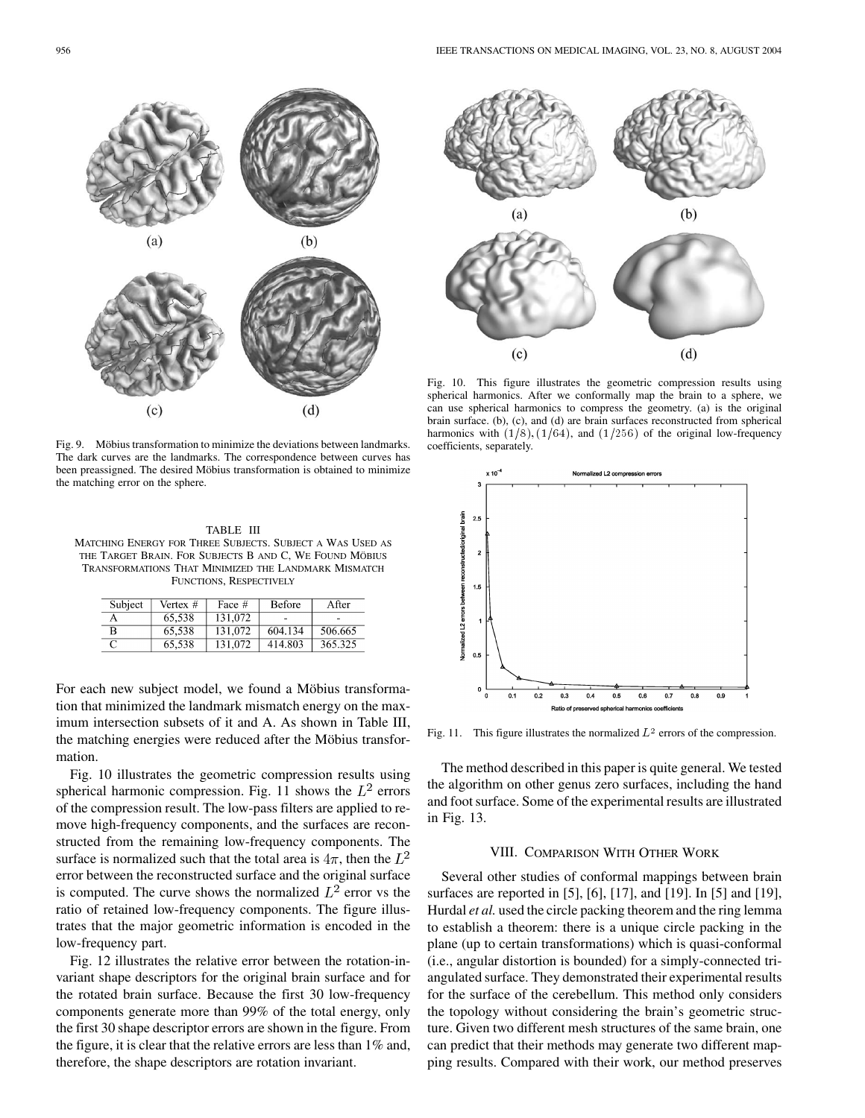

Fig. 9. Möbius transformation to minimize the deviations between landmarks. The dark curves are the landmarks. The correspondence between curves has been preassigned. The desired Möbius transformation is obtained to minimize the matching error on the sphere.

TABLE III MATCHING ENERGY FOR THREE SUBJECTS. SUBJECT A WAS USED AS THE TARGET BRAIN. FOR SUBJECTS B AND C, WE FOUND MÖBIUS TRANSFORMATIONS THAT MINIMIZED THE LANDMARK MISMATCH FUNCTIONS, RESPECTIVELY

| Subject | Vertex # | Face #  | <b>Before</b> | After   |
|---------|----------|---------|---------------|---------|
|         | 65.538   | 131.072 |               |         |
|         | 65.538   | 131.072 | 604.134       | 506.665 |
|         | 65.538   | 131.072 | 414.803       | 365.325 |

For each new subject model, we found a Möbius transformation that minimized the landmark mismatch energy on the maximum intersection subsets of it and A. As shown in Table III, the matching energies were reduced after the Möbius transformation.

Fig. 10 illustrates the geometric compression results using spherical harmonic compression. Fig. 11 shows the  $L^2$  errors of the compression result. The low-pass filters are applied to remove high-frequency components, and the surfaces are reconstructed from the remaining low-frequency components. The surface is normalized such that the total area is  $4\pi$ , then the  $L^2$ error between the reconstructed surface and the original surface is computed. The curve shows the normalized  $L^2$  error vs the ratio of retained low-frequency components. The figure illustrates that the major geometric information is encoded in the low-frequency part.

Fig. 12 illustrates the relative error between the rotation-invariant shape descriptors for the original brain surface and for the rotated brain surface. Because the first 30 low-frequency components generate more than 99% of the total energy, only the first 30 shape descriptor errors are shown in the figure. From the figure, it is clear that the relative errors are less than 1% and, therefore, the shape descriptors are rotation invariant.



Fig. 10. This figure illustrates the geometric compression results using spherical harmonics. After we conformally map the brain to a sphere, we can use spherical harmonics to compress the geometry. (a) is the original brain surface. (b), (c), and (d) are brain surfaces reconstructed from spherical harmonics with  $(1/8)$ ,  $(1/64)$ , and  $(1/256)$  of the original low-frequency coefficients, separately.



Fig. 11. This figure illustrates the normalized  $L^2$  errors of the compression.

The method described in this paper is quite general. We tested the algorithm on other genus zero surfaces, including the hand and foot surface. Some of the experimental results are illustrated in Fig. 13.

### VIII. COMPARISON WITH OTHER WORK

Several other studies of conformal mappings between brain surfaces are reported in [\[5\]](#page-8-0), [[6\]](#page-8-0), [\[17](#page-9-0)], and [\[19](#page-9-0)]. In [[5\]](#page-8-0) and [[19\]](#page-9-0), Hurdal *et al.* used the circle packing theorem and the ring lemma to establish a theorem: there is a unique circle packing in the plane (up to certain transformations) which is quasi-conformal (i.e., angular distortion is bounded) for a simply-connected triangulated surface. They demonstrated their experimental results for the surface of the cerebellum. This method only considers the topology without considering the brain's geometric structure. Given two different mesh structures of the same brain, one can predict that their methods may generate two different mapping results. Compared with their work, our method preserves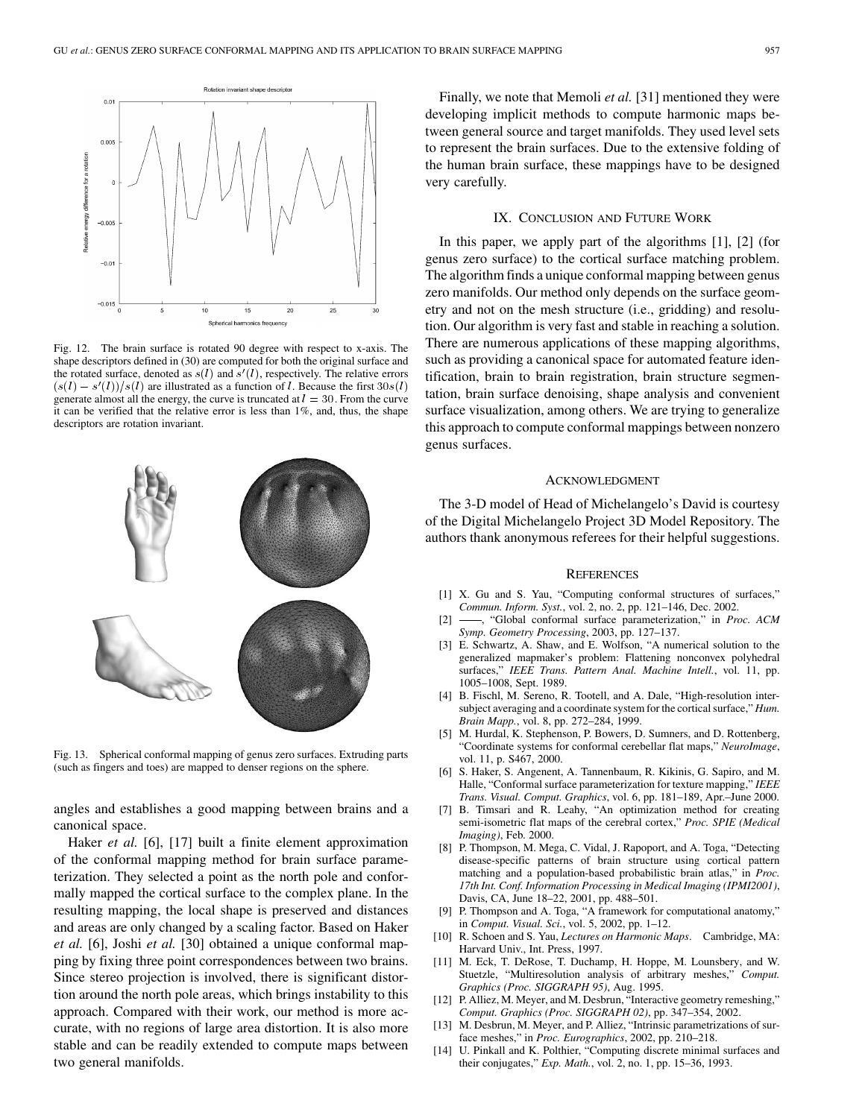<span id="page-8-0"></span>

Fig. 12. The brain surface is rotated 90 degree with respect to x-axis. The shape descriptors defined in (30) are computed for both the original surface and the rotated surface, denoted as  $s(l)$  and  $s'(l)$ , respectively. shape descriptors defined in (30) are computed for both the original surface and the rotated surface, denoted as  $s(l)$  and  $s'(l)$ , respectively. The relative errors  $(s(l) - s'(l))/s(l)$  are illustrated as a function of l. Because the first  $30s(l)$ generate almost all the energy, the curve is truncated at  $l = 30$ . From the curve it can be verified that the relative error is less than 1%, and, thus, the shape descriptors are rotation invariant.



Fig. 13. Spherical conformal mapping of genus zero surfaces. Extruding parts (such as fingers and toes) are mapped to denser regions on the sphere.

angles and establishes a good mapping between brains and a canonical space.

Haker *et al.* [6], [\[17](#page-9-0)] built a finite element approximation of the conformal mapping method for brain surface parameterization. They selected a point as the north pole and conformally mapped the cortical surface to the complex plane. In the resulting mapping, the local shape is preserved and distances and areas are only changed by a scaling factor. Based on Haker *et al.* [6], Joshi *et al.* [\[30](#page-9-0)] obtained a unique conformal mapping by fixing three point correspondences between two brains. Since stereo projection is involved, there is significant distortion around the north pole areas, which brings instability to this approach. Compared with their work, our method is more accurate, with no regions of large area distortion. It is also more stable and can be readily extended to compute maps between two general manifolds.

Finally, we note that Memoli *et al.* [\[31](#page-9-0)] mentioned they were developing implicit methods to compute harmonic maps between general source and target manifolds. They used level sets to represent the brain surfaces. Due to the extensive folding of the human brain surface, these mappings have to be designed very carefully.

## IX. CONCLUSION AND FUTURE WORK

In this paper, we apply part of the algorithms [1], [2] (for genus zero surface) to the cortical surface matching problem. The algorithm finds a unique conformal mapping between genus zero manifolds. Our method only depends on the surface geometry and not on the mesh structure (i.e., gridding) and resolution. Our algorithm is very fast and stable in reaching a solution. There are numerous applications of these mapping algorithms, such as providing a canonical space for automated feature identification, brain to brain registration, brain structure segmentation, brain surface denoising, shape analysis and convenient surface visualization, among others. We are trying to generalize this approach to compute conformal mappings between nonzero genus surfaces.

#### ACKNOWLEDGMENT

The 3-D model of Head of Michelangelo's David is courtesy of the Digital Michelangelo Project 3D Model Repository. The authors thank anonymous referees for their helpful suggestions.

#### **REFERENCES**

- [1] X. Gu and S. Yau, "Computing conformal structures of surfaces," *Commun. Inform. Syst.*, vol. 2, no. 2, pp. 121–146, Dec. 2002.
- [2] , "Global conformal surface parameterization," in *Proc. ACM Symp. Geometry Processing*, 2003, pp. 127–137.
- [3] E. Schwartz, A. Shaw, and E. Wolfson, "A numerical solution to the generalized mapmaker's problem: Flattening nonconvex polyhedral surfaces," *IEEE Trans. Pattern Anal. Machine Intell.*, vol. 11, pp. 1005–1008, Sept. 1989.
- [4] B. Fischl, M. Sereno, R. Tootell, and A. Dale, "High-resolution intersubject averaging and a coordinate system for the cortical surface," *Hum. Brain Mapp.*, vol. 8, pp. 272–284, 1999.
- [5] M. Hurdal, K. Stephenson, P. Bowers, D. Sumners, and D. Rottenberg, "Coordinate systems for conformal cerebellar flat maps," *NeuroImage*, vol. 11, p. S467, 2000.
- [6] S. Haker, S. Angenent, A. Tannenbaum, R. Kikinis, G. Sapiro, and M. Halle, "Conformal surface parameterization for texture mapping," *IEEE Trans. Visual. Comput. Graphics*, vol. 6, pp. 181–189, Apr.–June 2000.
- [7] B. Timsari and R. Leahy, "An optimization method for creating semi-isometric flat maps of the cerebral cortex," *Proc. SPIE (Medical Imaging)*, Feb. 2000.
- [8] P. Thompson, M. Mega, C. Vidal, J. Rapoport, and A. Toga, "Detecting disease-specific patterns of brain structure using cortical pattern matching and a population-based probabilistic brain atlas," in *Proc. 17th Int. Conf. Information Processing in Medical Imaging (IPMI2001)*, Davis, CA, June 18–22, 2001, pp. 488–501.
- [9] P. Thompson and A. Toga, "A framework for computational anatomy," in *Comput. Visual. Sci.*, vol. 5, 2002, pp. 1–12.
- [10] R. Schoen and S. Yau, *Lectures on Harmonic Maps*. Cambridge, MA: Harvard Univ., Int. Press, 1997.
- [11] M. Eck, T. DeRose, T. Duchamp, H. Hoppe, M. Lounsbery, and W. Stuetzle, "Multiresolution analysis of arbitrary meshes," *Comput. Graphics (Proc. SIGGRAPH 95)*, Aug. 1995.
- [12] P. Alliez, M. Meyer, and M. Desbrun, "Interactive geometry remeshing," *Comput. Graphics (Proc. SIGGRAPH 02)*, pp. 347–354, 2002.
- [13] M. Desbrun, M. Meyer, and P. Alliez, "Intrinsic parametrizations of surface meshes," in *Proc. Eurographics*, 2002, pp. 210–218.
- [14] U. Pinkall and K. Polthier, "Computing discrete minimal surfaces and their conjugates," *Exp. Math.*, vol. 2, no. 1, pp. 15–36, 1993.